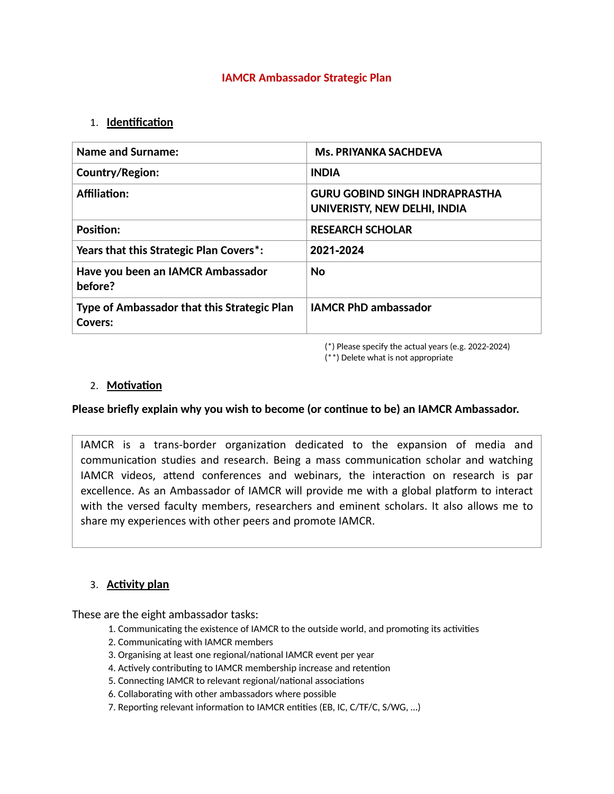#### **IAMCR Ambassador Strategic Plan**

### 1. **Identification**

| <b>Name and Surname:</b>                                      | <b>Ms. PRIYANKA SACHDEVA</b>                                          |
|---------------------------------------------------------------|-----------------------------------------------------------------------|
| Country/Region:                                               | <b>INDIA</b>                                                          |
| <b>Affiliation:</b>                                           | <b>GURU GOBIND SINGH INDRAPRASTHA</b><br>UNIVERISTY, NEW DELHI, INDIA |
| <b>Position:</b>                                              | <b>RESEARCH SCHOLAR</b>                                               |
| Years that this Strategic Plan Covers <sup>*</sup> :          | 2021-2024                                                             |
| Have you been an IAMCR Ambassador<br>before?                  | <b>No</b>                                                             |
| Type of Ambassador that this Strategic Plan<br><b>Covers:</b> | <b>IAMCR PhD ambassador</b>                                           |

(\*) Please specify the actual years (e.g. 2022-2024) (\*\*) Delete what is not appropriate

### 2. **Motivation**

#### Please briefly explain why you wish to become (or continue to be) an IAMCR Ambassador.

IAMCR is a trans-border organization dedicated to the expansion of media and communication studies and research. Being a mass communication scholar and watching IAMCR videos, attend conferences and webinars, the interaction on research is par excellence. As an Ambassador of IAMCR will provide me with a global platform to interact with the versed faculty members, researchers and eminent scholars. It also allows me to share my experiences with other peers and promote IAMCR.

## 3. **Activity plan**

These are the eight ambassador tasks:

- 1. Communicating the existence of IAMCR to the outside world, and promoting its activities
- 2. Communicating with IAMCR members
- 3. Organising at least one regional/national IAMCR event per year
- 4. Actively contributing to IAMCR membership increase and retention
- 5. Connecting IAMCR to relevant regional/national associations
- 6. Collaborating with other ambassadors where possible
- 7. Reporting relevant information to IAMCR entities (EB, IC, C/TF/C, S/WG, ...)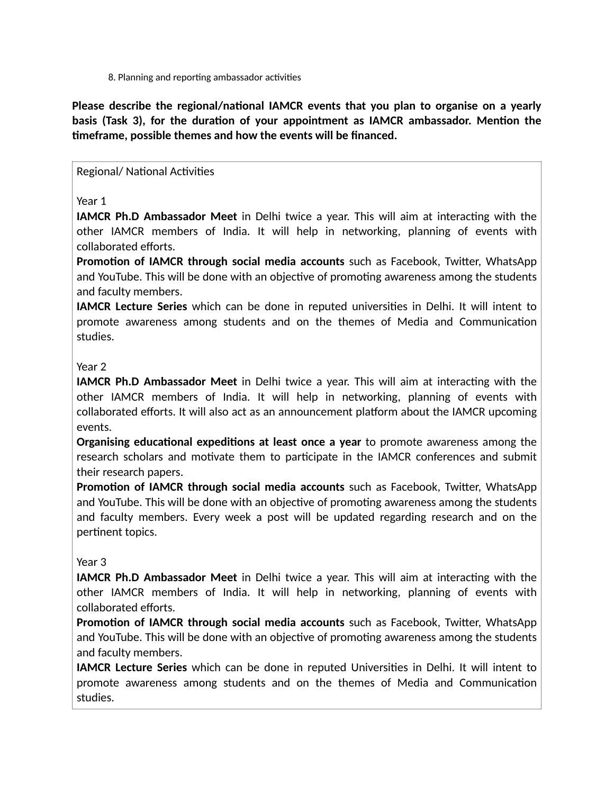8. Planning and reporting ambassador activities

Please describe the regional/national IAMCR events that you plan to organise on a yearly basis (Task 3), for the duration of your appointment as IAMCR ambassador. Mention the **7meframe, possible themes and how the events will be financed.**

### Regional/ National Activities

## Year 1

**IAMCR Ph.D Ambassador Meet** in Delhi twice a year. This will aim at interacting with the other IAMCR members of India. It will help in networking, planning of events with collaborated efforts.

**Promotion of IAMCR through social media accounts** such as Facebook, Twitter, WhatsApp and YouTube. This will be done with an objective of promoting awareness among the students and faculty members.

**IAMCR Lecture Series** which can be done in reputed universities in Delhi. It will intent to promote awareness among students and on the themes of Media and Communication studies.

### Year 2

**IAMCR Ph.D Ambassador Meet** in Delhi twice a year. This will aim at interacting with the other IAMCR members of India. It will help in networking, planning of events with collaborated efforts. It will also act as an announcement platform about the IAMCR upcoming events.

**Organising educational expeditions at least once a year** to promote awareness among the research scholars and motivate them to participate in the IAMCR conferences and submit their research papers.

**Promotion of IAMCR through social media accounts** such as Facebook, Twitter, WhatsApp and YouTube. This will be done with an objective of promoting awareness among the students and faculty members. Every week a post will be updated regarding research and on the pertinent topics.

## Year 3

**IAMCR Ph.D Ambassador Meet** in Delhi twice a year. This will aim at interacting with the other IAMCR members of India. It will help in networking, planning of events with collaborated efforts.

**Promotion of IAMCR through social media accounts** such as Facebook, Twitter, WhatsApp and YouTube. This will be done with an objective of promoting awareness among the students and faculty members.

**IAMCR Lecture Series** which can be done in reputed Universities in Delhi. It will intent to promote awareness among students and on the themes of Media and Communication studies.